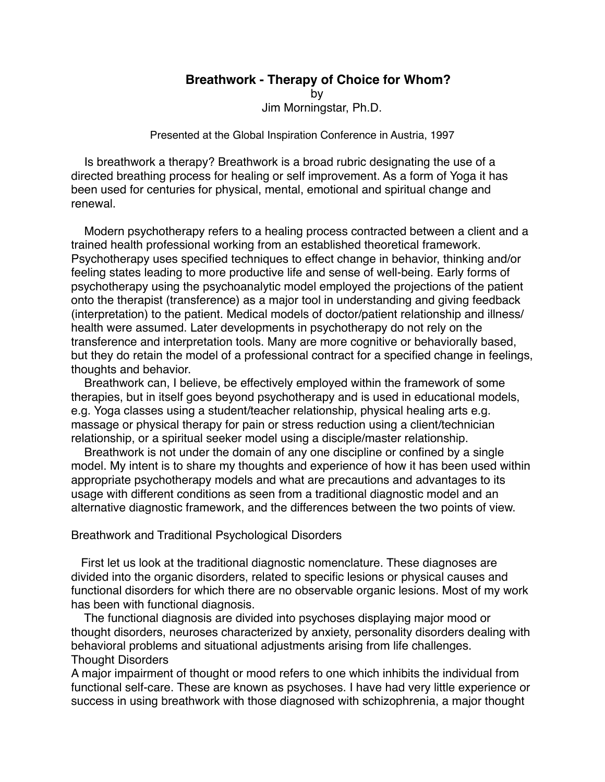## **Breathwork - Therapy of Choice for Whom?**

by

Jim Morningstar, Ph.D.

Presented at the Global Inspiration Conference in Austria, 1997

 Is breathwork a therapy? Breathwork is a broad rubric designating the use of a directed breathing process for healing or self improvement. As a form of Yoga it has been used for centuries for physical, mental, emotional and spiritual change and renewal.

 Modern psychotherapy refers to a healing process contracted between a client and a trained health professional working from an established theoretical framework. Psychotherapy uses specified techniques to effect change in behavior, thinking and/or feeling states leading to more productive life and sense of well-being. Early forms of psychotherapy using the psychoanalytic model employed the projections of the patient onto the therapist (transference) as a major tool in understanding and giving feedback (interpretation) to the patient. Medical models of doctor/patient relationship and illness/ health were assumed. Later developments in psychotherapy do not rely on the transference and interpretation tools. Many are more cognitive or behaviorally based, but they do retain the model of a professional contract for a specified change in feelings, thoughts and behavior.

 Breathwork can, I believe, be effectively employed within the framework of some therapies, but in itself goes beyond psychotherapy and is used in educational models, e.g. Yoga classes using a student/teacher relationship, physical healing arts e.g. massage or physical therapy for pain or stress reduction using a client/technician relationship, or a spiritual seeker model using a disciple/master relationship.

 Breathwork is not under the domain of any one discipline or confined by a single model. My intent is to share my thoughts and experience of how it has been used within appropriate psychotherapy models and what are precautions and advantages to its usage with different conditions as seen from a traditional diagnostic model and an alternative diagnostic framework, and the differences between the two points of view.

## Breathwork and Traditional Psychological Disorders

 First let us look at the traditional diagnostic nomenclature. These diagnoses are divided into the organic disorders, related to specific lesions or physical causes and functional disorders for which there are no observable organic lesions. Most of my work has been with functional diagnosis.

 The functional diagnosis are divided into psychoses displaying major mood or thought disorders, neuroses characterized by anxiety, personality disorders dealing with behavioral problems and situational adjustments arising from life challenges. Thought Disorders

A major impairment of thought or mood refers to one which inhibits the individual from functional self-care. These are known as psychoses. I have had very little experience or success in using breathwork with those diagnosed with schizophrenia, a major thought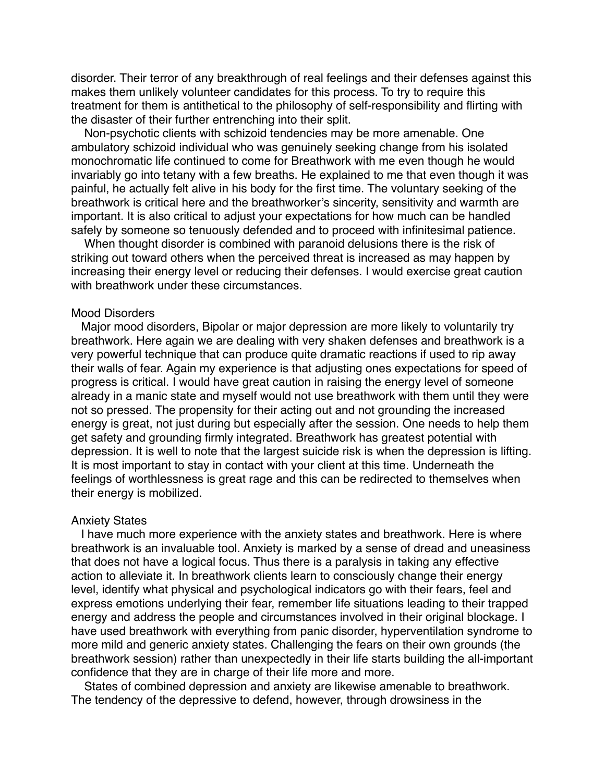disorder. Their terror of any breakthrough of real feelings and their defenses against this makes them unlikely volunteer candidates for this process. To try to require this treatment for them is antithetical to the philosophy of self-responsibility and flirting with the disaster of their further entrenching into their split.

 Non-psychotic clients with schizoid tendencies may be more amenable. One ambulatory schizoid individual who was genuinely seeking change from his isolated monochromatic life continued to come for Breathwork with me even though he would invariably go into tetany with a few breaths. He explained to me that even though it was painful, he actually felt alive in his body for the first time. The voluntary seeking of the breathwork is critical here and the breathworker's sincerity, sensitivity and warmth are important. It is also critical to adjust your expectations for how much can be handled safely by someone so tenuously defended and to proceed with infinitesimal patience.

 When thought disorder is combined with paranoid delusions there is the risk of striking out toward others when the perceived threat is increased as may happen by increasing their energy level or reducing their defenses. I would exercise great caution with breathwork under these circumstances.

#### Mood Disorders

 Major mood disorders, Bipolar or major depression are more likely to voluntarily try breathwork. Here again we are dealing with very shaken defenses and breathwork is a very powerful technique that can produce quite dramatic reactions if used to rip away their walls of fear. Again my experience is that adjusting ones expectations for speed of progress is critical. I would have great caution in raising the energy level of someone already in a manic state and myself would not use breathwork with them until they were not so pressed. The propensity for their acting out and not grounding the increased energy is great, not just during but especially after the session. One needs to help them get safety and grounding firmly integrated. Breathwork has greatest potential with depression. It is well to note that the largest suicide risk is when the depression is lifting. It is most important to stay in contact with your client at this time. Underneath the feelings of worthlessness is great rage and this can be redirected to themselves when their energy is mobilized.

## Anxiety States

 I have much more experience with the anxiety states and breathwork. Here is where breathwork is an invaluable tool. Anxiety is marked by a sense of dread and uneasiness that does not have a logical focus. Thus there is a paralysis in taking any effective action to alleviate it. In breathwork clients learn to consciously change their energy level, identify what physical and psychological indicators go with their fears, feel and express emotions underlying their fear, remember life situations leading to their trapped energy and address the people and circumstances involved in their original blockage. I have used breathwork with everything from panic disorder, hyperventilation syndrome to more mild and generic anxiety states. Challenging the fears on their own grounds (the breathwork session) rather than unexpectedly in their life starts building the all-important confidence that they are in charge of their life more and more.

 States of combined depression and anxiety are likewise amenable to breathwork. The tendency of the depressive to defend, however, through drowsiness in the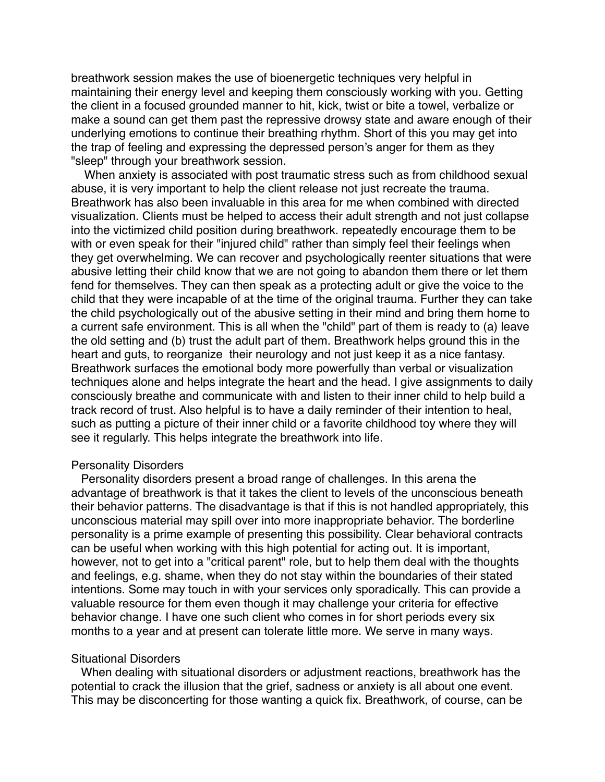breathwork session makes the use of bioenergetic techniques very helpful in maintaining their energy level and keeping them consciously working with you. Getting the client in a focused grounded manner to hit, kick, twist or bite a towel, verbalize or make a sound can get them past the repressive drowsy state and aware enough of their underlying emotions to continue their breathing rhythm. Short of this you may get into the trap of feeling and expressing the depressed person's anger for them as they "sleep" through your breathwork session.

 When anxiety is associated with post traumatic stress such as from childhood sexual abuse, it is very important to help the client release not just recreate the trauma. Breathwork has also been invaluable in this area for me when combined with directed visualization. Clients must be helped to access their adult strength and not just collapse into the victimized child position during breathwork. repeatedly encourage them to be with or even speak for their "injured child" rather than simply feel their feelings when they get overwhelming. We can recover and psychologically reenter situations that were abusive letting their child know that we are not going to abandon them there or let them fend for themselves. They can then speak as a protecting adult or give the voice to the child that they were incapable of at the time of the original trauma. Further they can take the child psychologically out of the abusive setting in their mind and bring them home to a current safe environment. This is all when the "child" part of them is ready to (a) leave the old setting and (b) trust the adult part of them. Breathwork helps ground this in the heart and guts, to reorganize their neurology and not just keep it as a nice fantasy. Breathwork surfaces the emotional body more powerfully than verbal or visualization techniques alone and helps integrate the heart and the head. I give assignments to daily consciously breathe and communicate with and listen to their inner child to help build a track record of trust. Also helpful is to have a daily reminder of their intention to heal, such as putting a picture of their inner child or a favorite childhood toy where they will see it regularly. This helps integrate the breathwork into life.

#### Personality Disorders

 Personality disorders present a broad range of challenges. In this arena the advantage of breathwork is that it takes the client to levels of the unconscious beneath their behavior patterns. The disadvantage is that if this is not handled appropriately, this unconscious material may spill over into more inappropriate behavior. The borderline personality is a prime example of presenting this possibility. Clear behavioral contracts can be useful when working with this high potential for acting out. It is important, however, not to get into a "critical parent" role, but to help them deal with the thoughts and feelings, e.g. shame, when they do not stay within the boundaries of their stated intentions. Some may touch in with your services only sporadically. This can provide a valuable resource for them even though it may challenge your criteria for effective behavior change. I have one such client who comes in for short periods every six months to a year and at present can tolerate little more. We serve in many ways.

#### Situational Disorders

 When dealing with situational disorders or adjustment reactions, breathwork has the potential to crack the illusion that the grief, sadness or anxiety is all about one event. This may be disconcerting for those wanting a quick fix. Breathwork, of course, can be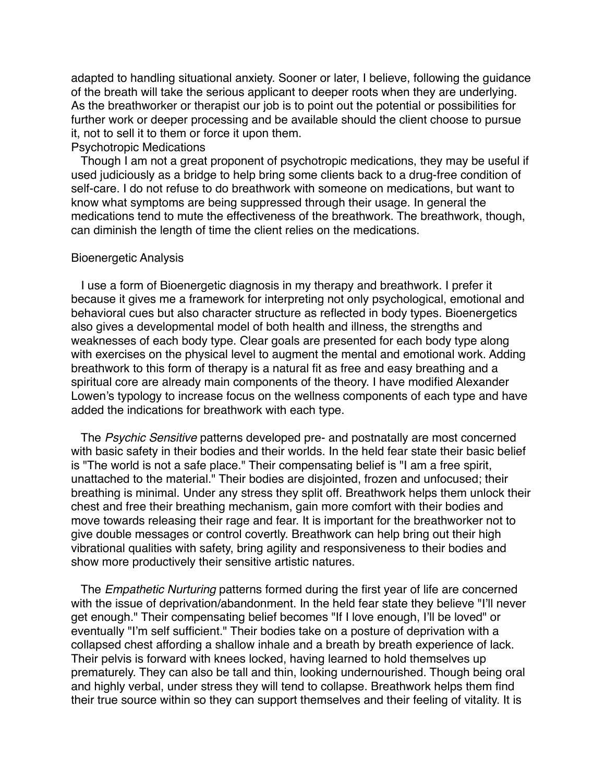adapted to handling situational anxiety. Sooner or later, I believe, following the guidance of the breath will take the serious applicant to deeper roots when they are underlying. As the breathworker or therapist our job is to point out the potential or possibilities for further work or deeper processing and be available should the client choose to pursue it, not to sell it to them or force it upon them.

## Psychotropic Medications

 Though I am not a great proponent of psychotropic medications, they may be useful if used judiciously as a bridge to help bring some clients back to a drug-free condition of self-care. I do not refuse to do breathwork with someone on medications, but want to know what symptoms are being suppressed through their usage. In general the medications tend to mute the effectiveness of the breathwork. The breathwork, though, can diminish the length of time the client relies on the medications.

#### Bioenergetic Analysis

 I use a form of Bioenergetic diagnosis in my therapy and breathwork. I prefer it because it gives me a framework for interpreting not only psychological, emotional and behavioral cues but also character structure as reflected in body types. Bioenergetics also gives a developmental model of both health and illness, the strengths and weaknesses of each body type. Clear goals are presented for each body type along with exercises on the physical level to augment the mental and emotional work. Adding breathwork to this form of therapy is a natural fit as free and easy breathing and a spiritual core are already main components of the theory. I have modified Alexander Lowen's typology to increase focus on the wellness components of each type and have added the indications for breathwork with each type.

 The *Psychic Sensitive* patterns developed pre- and postnatally are most concerned with basic safety in their bodies and their worlds. In the held fear state their basic belief is "The world is not a safe place." Their compensating belief is "I am a free spirit, unattached to the material." Their bodies are disjointed, frozen and unfocused; their breathing is minimal. Under any stress they split off. Breathwork helps them unlock their chest and free their breathing mechanism, gain more comfort with their bodies and move towards releasing their rage and fear. It is important for the breathworker not to give double messages or control covertly. Breathwork can help bring out their high vibrational qualities with safety, bring agility and responsiveness to their bodies and show more productively their sensitive artistic natures.

 The *Empathetic Nurturing* patterns formed during the first year of life are concerned with the issue of deprivation/abandonment. In the held fear state they believe "I'll never get enough." Their compensating belief becomes "If I love enough, I'll be loved" or eventually "I'm self sufficient." Their bodies take on a posture of deprivation with a collapsed chest affording a shallow inhale and a breath by breath experience of lack. Their pelvis is forward with knees locked, having learned to hold themselves up prematurely. They can also be tall and thin, looking undernourished. Though being oral and highly verbal, under stress they will tend to collapse. Breathwork helps them find their true source within so they can support themselves and their feeling of vitality. It is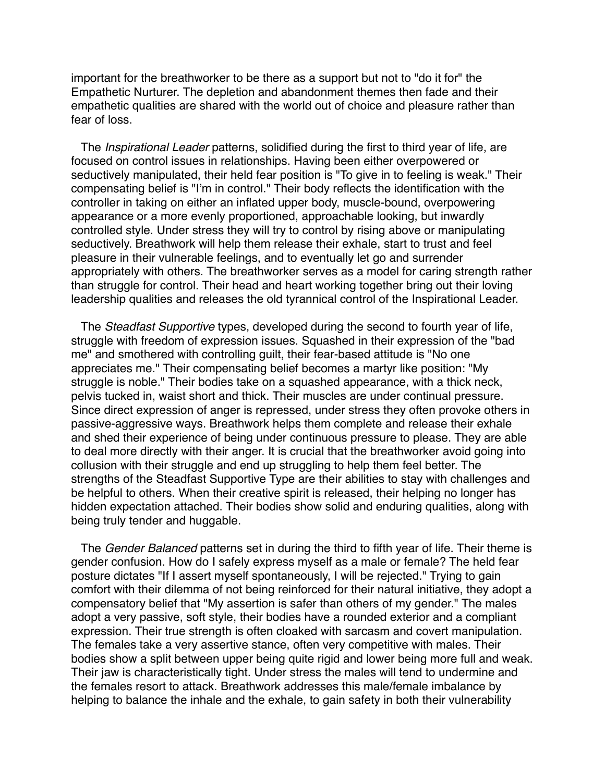important for the breathworker to be there as a support but not to "do it for" the Empathetic Nurturer. The depletion and abandonment themes then fade and their empathetic qualities are shared with the world out of choice and pleasure rather than fear of loss.

 The *Inspirational Leader* patterns, solidified during the first to third year of life, are focused on control issues in relationships. Having been either overpowered or seductively manipulated, their held fear position is "To give in to feeling is weak." Their compensating belief is "I'm in control." Their body reflects the identification with the controller in taking on either an inflated upper body, muscle-bound, overpowering appearance or a more evenly proportioned, approachable looking, but inwardly controlled style. Under stress they will try to control by rising above or manipulating seductively. Breathwork will help them release their exhale, start to trust and feel pleasure in their vulnerable feelings, and to eventually let go and surrender appropriately with others. The breathworker serves as a model for caring strength rather than struggle for control. Their head and heart working together bring out their loving leadership qualities and releases the old tyrannical control of the Inspirational Leader.

 The *Steadfast Supportive* types, developed during the second to fourth year of life, struggle with freedom of expression issues. Squashed in their expression of the "bad me" and smothered with controlling guilt, their fear-based attitude is "No one appreciates me." Their compensating belief becomes a martyr like position: "My struggle is noble." Their bodies take on a squashed appearance, with a thick neck, pelvis tucked in, waist short and thick. Their muscles are under continual pressure. Since direct expression of anger is repressed, under stress they often provoke others in passive-aggressive ways. Breathwork helps them complete and release their exhale and shed their experience of being under continuous pressure to please. They are able to deal more directly with their anger. It is crucial that the breathworker avoid going into collusion with their struggle and end up struggling to help them feel better. The strengths of the Steadfast Supportive Type are their abilities to stay with challenges and be helpful to others. When their creative spirit is released, their helping no longer has hidden expectation attached. Their bodies show solid and enduring qualities, along with being truly tender and huggable.

 The *Gender Balanced* patterns set in during the third to fifth year of life. Their theme is gender confusion. How do I safely express myself as a male or female? The held fear posture dictates "If I assert myself spontaneously, I will be rejected." Trying to gain comfort with their dilemma of not being reinforced for their natural initiative, they adopt a compensatory belief that "My assertion is safer than others of my gender." The males adopt a very passive, soft style, their bodies have a rounded exterior and a compliant expression. Their true strength is often cloaked with sarcasm and covert manipulation. The females take a very assertive stance, often very competitive with males. Their bodies show a split between upper being quite rigid and lower being more full and weak. Their jaw is characteristically tight. Under stress the males will tend to undermine and the females resort to attack. Breathwork addresses this male/female imbalance by helping to balance the inhale and the exhale, to gain safety in both their vulnerability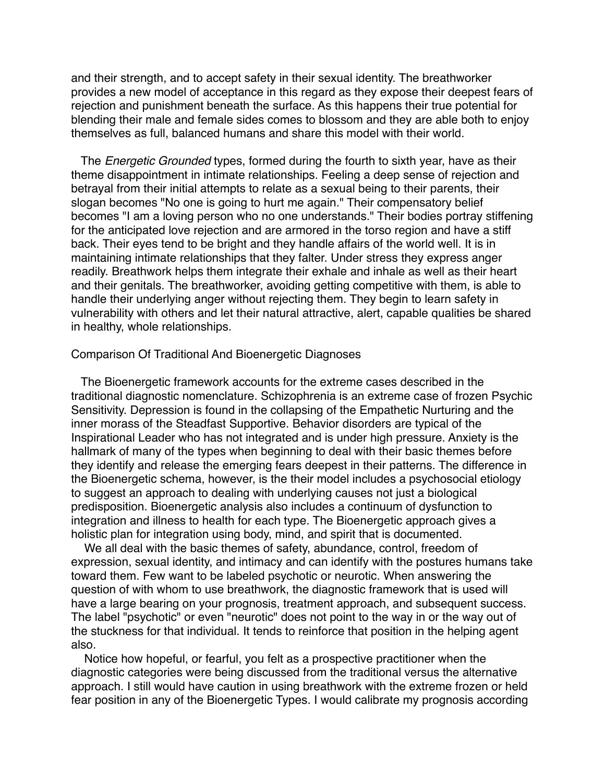and their strength, and to accept safety in their sexual identity. The breathworker provides a new model of acceptance in this regard as they expose their deepest fears of rejection and punishment beneath the surface. As this happens their true potential for blending their male and female sides comes to blossom and they are able both to enjoy themselves as full, balanced humans and share this model with their world.

 The *Energetic Grounded* types, formed during the fourth to sixth year, have as their theme disappointment in intimate relationships. Feeling a deep sense of rejection and betrayal from their initial attempts to relate as a sexual being to their parents, their slogan becomes "No one is going to hurt me again." Their compensatory belief becomes "I am a loving person who no one understands." Their bodies portray stiffening for the anticipated love rejection and are armored in the torso region and have a stiff back. Their eyes tend to be bright and they handle affairs of the world well. It is in maintaining intimate relationships that they falter. Under stress they express anger readily. Breathwork helps them integrate their exhale and inhale as well as their heart and their genitals. The breathworker, avoiding getting competitive with them, is able to handle their underlying anger without rejecting them. They begin to learn safety in vulnerability with others and let their natural attractive, alert, capable qualities be shared in healthy, whole relationships.

### Comparison Of Traditional And Bioenergetic Diagnoses

 The Bioenergetic framework accounts for the extreme cases described in the traditional diagnostic nomenclature. Schizophrenia is an extreme case of frozen Psychic Sensitivity. Depression is found in the collapsing of the Empathetic Nurturing and the inner morass of the Steadfast Supportive. Behavior disorders are typical of the Inspirational Leader who has not integrated and is under high pressure. Anxiety is the hallmark of many of the types when beginning to deal with their basic themes before they identify and release the emerging fears deepest in their patterns. The difference in the Bioenergetic schema, however, is the their model includes a psychosocial etiology to suggest an approach to dealing with underlying causes not just a biological predisposition. Bioenergetic analysis also includes a continuum of dysfunction to integration and illness to health for each type. The Bioenergetic approach gives a holistic plan for integration using body, mind, and spirit that is documented.

 We all deal with the basic themes of safety, abundance, control, freedom of expression, sexual identity, and intimacy and can identify with the postures humans take toward them. Few want to be labeled psychotic or neurotic. When answering the question of with whom to use breathwork, the diagnostic framework that is used will have a large bearing on your prognosis, treatment approach, and subsequent success. The label "psychotic" or even "neurotic" does not point to the way in or the way out of the stuckness for that individual. It tends to reinforce that position in the helping agent also.

 Notice how hopeful, or fearful, you felt as a prospective practitioner when the diagnostic categories were being discussed from the traditional versus the alternative approach. I still would have caution in using breathwork with the extreme frozen or held fear position in any of the Bioenergetic Types. I would calibrate my prognosis according